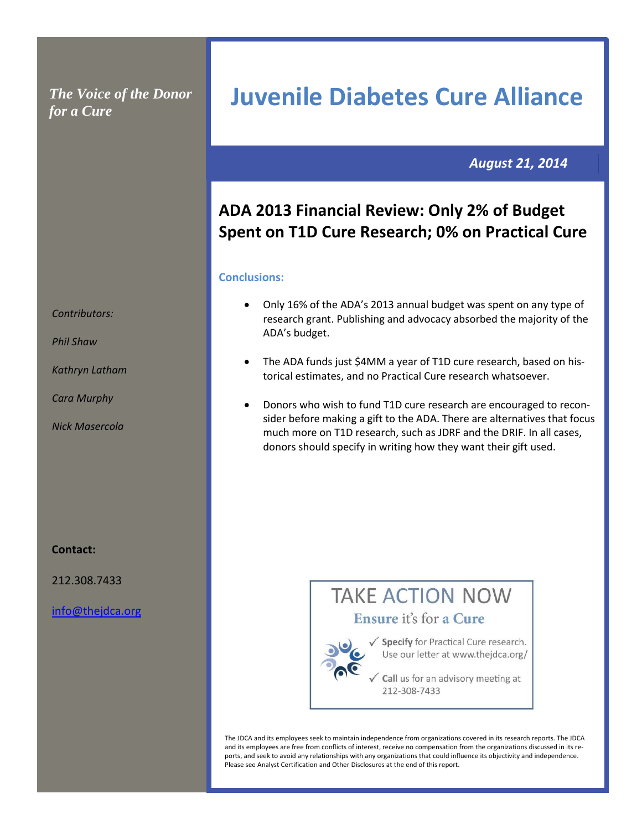## *The Voice of the Donor for a Cure*

 *August 21, 2014*

# **ADA 2013 Financial Review: Only 2% of Budget Spent on T1D Cure Research; 0% on Practical Cure**

**Juvenile Diabetes Cure Alliance**

### **Conclusions:**

- Only 16% of the ADA's 2013 annual budget was spent on any type of research grant. Publishing and advocacy absorbed the majority of the ADA's budget.
- The ADA funds just \$4MM a year of T1D cure research, based on historical estimates, and no Practical Cure research whatsoever.
- Donors who wish to fund T1D cure research are encouraged to reconsider before making a gift to the ADA. There are alternatives that focus much more on T1D research, such as JDRF and the DRIF. In all cases, donors should specify in writing how they want their gift used.

### **Contact:**

212.308.7433

[info@thejdca.org](mailto:info@thejdca.org)

# **TAKE ACTION NOW** Ensure it's for a Cure



√ Specify for Practical Cure research. Use our letter at www.thejdca.org/

Call us for an advisory meeting at 212-308-7433

The JDCA and its employees seek to maintain independence from organizations covered in its research reports. The JDCA and its employees are free from conflicts of interest, receive no compensation from the organizations discussed in its reports, and seek to avoid any relationships with any organizations that could influence its objectivity and independence. Please see Analyst Certification and Other Disclosures at the end of this report.

*Contributors:* 

*Phil Shaw*

*Kathryn Latham*

*Cara Murphy*

*Nick Masercola*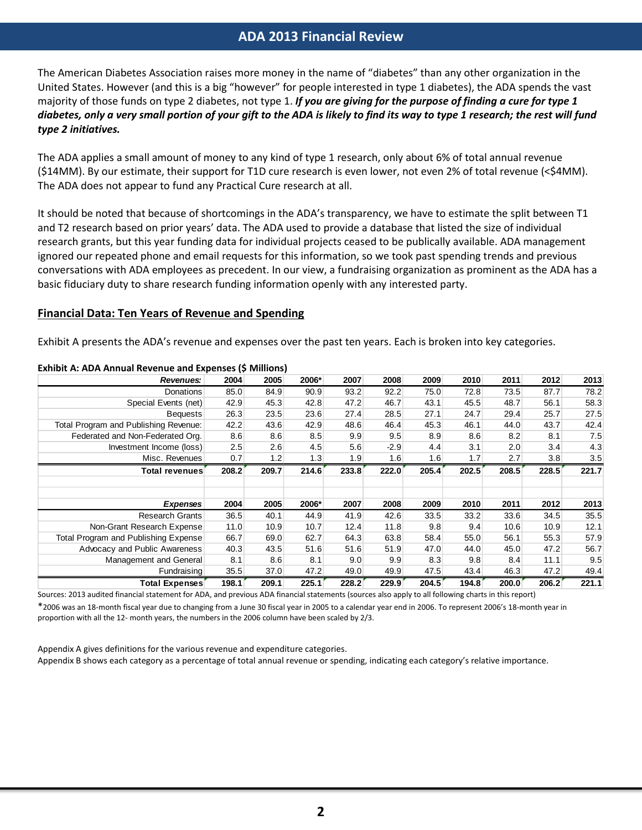## **ADA 2013 Financial Review**

The American Diabetes Association raises more money in the name of "diabetes" than any other organization in the United States. However (and this is a big "however" for people interested in type 1 diabetes), the ADA spends the vast majority of those funds on type 2 diabetes, not type 1. *If you are giving for the purpose of finding a cure for type 1 diabetes, only a very small portion of your gift to the ADA is likely to find its way to type 1 research; the rest will fund type 2 initiatives.*

The ADA applies a small amount of money to any kind of type 1 research, only about 6% of total annual revenue (\$14MM). By our estimate, their support for T1D cure research is even lower, not even 2% of total revenue (<\$4MM). The ADA does not appear to fund any Practical Cure research at all.

It should be noted that because of shortcomings in the ADA's transparency, we have to estimate the split between T1 and T2 research based on prior years' data. The ADA used to provide a database that listed the size of individual research grants, but this year funding data for individual projects ceased to be publically available. ADA management ignored our repeated phone and email requests for this information, so we took past spending trends and previous conversations with ADA employees as precedent. In our view, a fundraising organization as prominent as the ADA has a basic fiduciary duty to share research funding information openly with any interested party.

### **Financial Data: Ten Years of Revenue and Spending**

Exhibit A presents the ADA's revenue and expenses over the past ten years. Each is broken into key categories.

| Revenues:                             | 2004  | 2005  | 2006* | 2007  | 2008   | 2009  | 2010  | 2011  | 2012  | 2013  |
|---------------------------------------|-------|-------|-------|-------|--------|-------|-------|-------|-------|-------|
| <b>Donations</b>                      | 85.0  | 84.9  | 90.9  | 93.2  | 92.2   | 75.0  | 72.8  | 73.5  | 87.7  | 78.2  |
| Special Events (net)                  | 42.9  | 45.3  | 42.8  | 47.2  | 46.7   | 43.1  | 45.5  | 48.7  | 56.1  | 58.3  |
| <b>Bequests</b>                       | 26.3  | 23.5  | 23.6  | 27.4  | 28.5   | 27.1  | 24.7  | 29.4  | 25.7  | 27.5  |
| Total Program and Publishing Revenue: | 42.2  | 43.6  | 42.9  | 48.6  | 46.4   | 45.3  | 46.1  | 44.0  | 43.7  | 42.4  |
| Federated and Non-Federated Org.      | 8.6   | 8.6   | 8.5   | 9.9   | 9.5    | 8.9   | 8.6   | 8.2   | 8.1   | 7.5   |
| Investment Income (loss)              | 2.5   | 2.6   | 4.5   | 5.6   | $-2.9$ | 4.4   | 3.1   | 2.0   | 3.4   | 4.3   |
| Misc. Revenues                        | 0.7   | 1.2   | 1.3   | 1.9   | 1.6    | 1.6   | 1.7   | 2.7   | 3.8   | 3.5   |
| Total revenues                        | 208.2 | 209.7 | 214.6 | 233.8 | 222.0  | 205.4 | 202.5 | 208.5 | 228.5 | 221.7 |
|                                       |       |       |       |       |        |       |       |       |       |       |
| <b>Expenses</b>                       | 2004  | 2005  | 2006* | 2007  | 2008   | 2009  | 2010  | 2011  | 2012  | 2013  |
| <b>Research Grants</b>                | 36.5  | 40.1  | 44.9  | 41.9  | 42.6   | 33.5  | 33.2  | 33.6  | 34.5  | 35.5  |
| Non-Grant Research Expense            | 11.0  | 10.9  | 10.7  | 12.4  | 11.8   | 9.8   | 9.4   | 10.6  | 10.9  | 12.1  |
| Total Program and Publishing Expense  | 66.7  | 69.0  | 62.7  | 64.3  | 63.8   | 58.4  | 55.0  | 56.1  | 55.3  | 57.9  |
| Advocacy and Public Awareness         | 40.3  | 43.5  | 51.6  | 51.6  | 51.9   | 47.0  | 44.0  | 45.0  | 47.2  | 56.7  |
| Management and General                | 8.1   | 8.6   | 8.1   | 9.0   | 9.9    | 8.3   | 9.8   | 8.4   | 11.1  | 9.5   |
| Fundraising                           | 35.5  | 37.0  | 47.2  | 49.0  | 49.9   | 47.5  | 43.4  | 46.3  | 47.2  | 49.4  |

#### **Exhibit A: ADA Annual Revenue and Expenses (\$ Millions)**

Sources: 2013 audited financial statement for ADA, and previous ADA financial statements (sources also apply to all following charts in this report) \*2006 was an 18-month fiscal year due to changing from a June 30 fiscal year in 2005 to a calendar year end in 2006. To represent 2006's 18-month year in proportion with all the 12- month years, the numbers in the 2006 column have been scaled by 2/3.

Appendix A gives definitions for the various revenue and expenditure categories. Appendix B shows each category as a percentage of total annual revenue or spending, indicating each category's relative importance.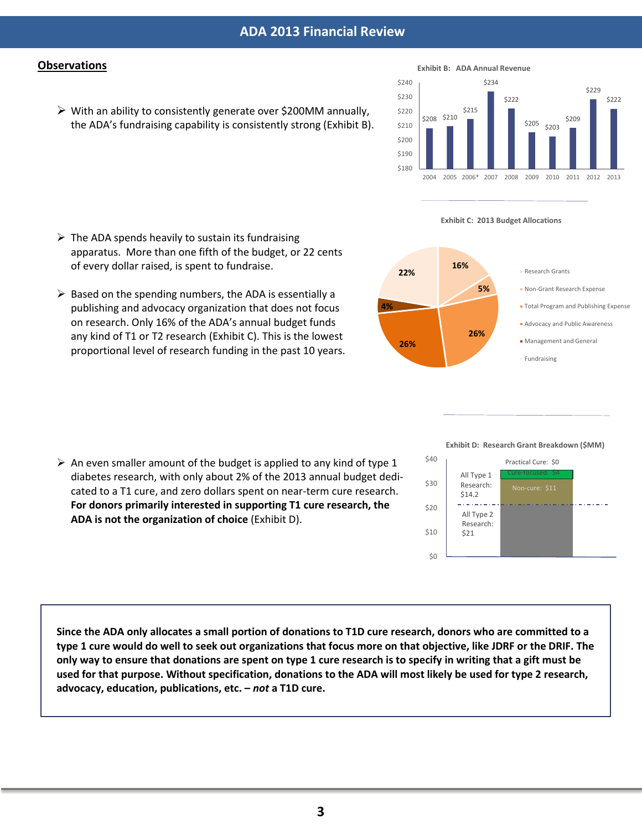## **Observations**

 $\triangleright$  With an ability to consistently generate over \$200MM annually, the ADA's fundraising capability is consistently strong (Exhibit B).



#### **Exhibit C: 2013 Budget Allocations**



#### **Exhibit D: Research Grant Breakdown (\$MM)**



 $\triangleright$  Based on the spending numbers, the ADA is essentially a publishing and advocacy organization that does not focus on research. Only 16% of the ADA's annual budget funds any kind of T1 or T2 research (Exhibit C). This is the lowest

proportional level of research funding in the past 10 years.

apparatus. More than one fifth of the budget, or 22 cents

 $\triangleright$  The ADA spends heavily to sustain its fundraising

of every dollar raised, is spent to fundraise.

 $\triangleright$  An even smaller amount of the budget is applied to any kind of type 1 diabetes research, with only about 2% of the 2013 annual budget dedicated to a T1 cure, and zero dollars spent on near-term cure research. **For donors primarily interested in supporting T1 cure research, the ADA is not the organization of choice** (Exhibit D).

**Since the ADA only allocates a small portion of donations to T1D cure research, donors who are committed to a type 1 cure would do well to seek out organizations that focus more on that objective, like JDRF or the DRIF. The only way to ensure that donations are spent on type 1 cure research is to specify in writing that a gift must be used for that purpose. Without specification, donations to the ADA will most likely be used for type 2 research, advocacy, education, publications, etc. –** *not* **a T1D cure.**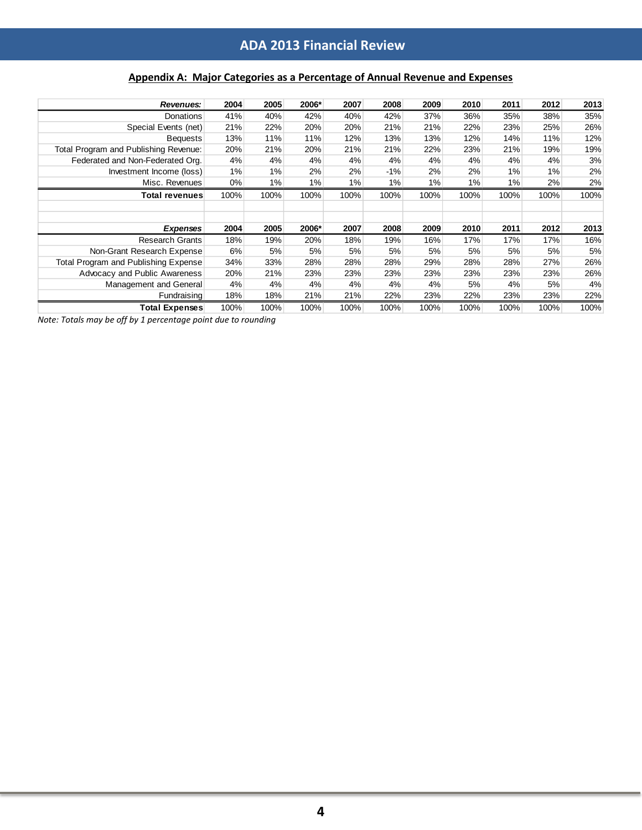# **ADA 2013 Financial Review**

## **Appendix A: Major Categories as a Percentage of Annual Revenue and Expenses**

| Revenues:                             | 2004  | 2005  | 2006* | 2007 | 2008  | 2009 | 2010 | 2011 | 2012 | 2013 |
|---------------------------------------|-------|-------|-------|------|-------|------|------|------|------|------|
| <b>Donations</b>                      | 41%   | 40%   | 42%   | 40%  | 42%   | 37%  | 36%  | 35%  | 38%  | 35%  |
| Special Events (net)                  | 21%   | 22%   | 20%   | 20%  | 21%   | 21%  | 22%  | 23%  | 25%  | 26%  |
| <b>Bequests</b>                       | 13%   | 11%   | 11%   | 12%  | 13%   | 13%  | 12%  | 14%  | 11%  | 12%  |
| Total Program and Publishing Revenue: | 20%   | 21%   | 20%   | 21%  | 21%   | 22%  | 23%  | 21%  | 19%  | 19%  |
| Federated and Non-Federated Org.      | 4%    | 4%    | 4%    | 4%   | 4%    | 4%   | 4%   | 4%   | 4%   | 3%   |
| Investment Income (loss)              | 1%    | 1%    | 2%    | 2%   | $-1%$ | 2%   | 2%   | 1%   | 1%   | 2%   |
| Misc. Revenues                        | $0\%$ | $1\%$ | 1%    | 1%   | 1%    | 1%   | 1%   | 1%   | 2%   | 2%   |
| Total revenues                        | 100%  | 100%  | 100%  | 100% | 100%  | 100% | 100% | 100% | 100% | 100% |
|                                       |       |       |       |      |       |      |      |      |      |      |
|                                       |       |       |       |      |       |      |      |      |      |      |
| <b>Expenses</b>                       | 2004  | 2005  | 2006* | 2007 | 2008  | 2009 | 2010 | 2011 | 2012 | 2013 |
| <b>Research Grants</b>                | 18%   | 19%   | 20%   | 18%  | 19%   | 16%  | 17%  | 17%  | 17%  | 16%  |
| Non-Grant Research Expense            | 6%    | 5%    | 5%    | 5%   | 5%    | 5%   | 5%   | 5%   | 5%   | 5%   |
| Total Program and Publishing Expense  | 34%   | 33%   | 28%   | 28%  | 28%   | 29%  | 28%  | 28%  | 27%  | 26%  |
| Advocacy and Public Awareness         | 20%   | 21%   | 23%   | 23%  | 23%   | 23%  | 23%  | 23%  | 23%  | 26%  |
| Management and General                | 4%    | 4%    | 4%    | 4%   | 4%    | 4%   | 5%   | 4%   | 5%   | 4%   |
| Fundraising                           | 18%   | 18%   | 21%   | 21%  | 22%   | 23%  | 22%  | 23%  | 23%  | 22%  |
| <b>Total Expenses</b>                 | 100%  | 100%  | 100%  | 100% | 100%  | 100% | 100% | 100% | 100% | 100% |

*Note: Totals may be off by 1 percentage point due to rounding*

I